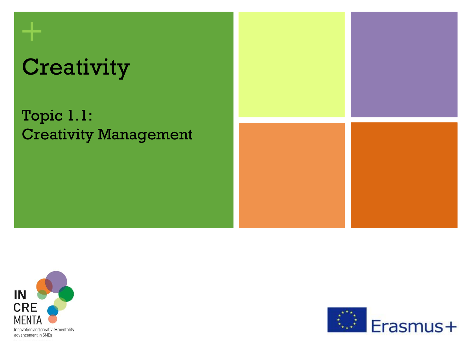# **Creativity**

**+**

Topic 1.1: Creativity Management





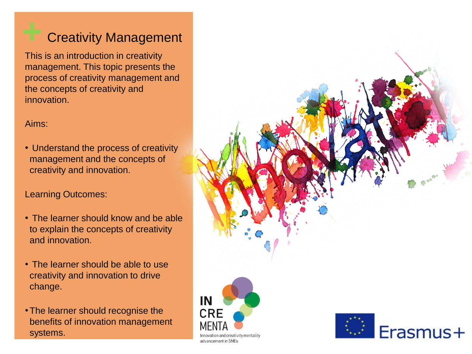#### **Creativity Management**

This is an introduction in creativity management. This topic presents the process of creativity management and the concepts of creativity and innovation.

#### Aims:

• Understand the process of creativity management and the concepts of creativity and innovation.

#### Learning Outcomes:

- The learner should know and be able to explain the concepts of creativity and innovation.
- The learner should be able to use creativity and innovation to drive change.
- •The learner should recognise the benefits of innovation management systems.

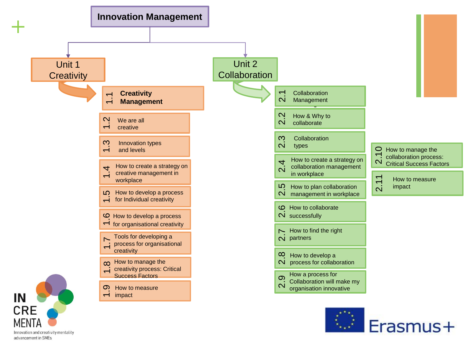

Innovation and creativity mentality advancement in SMEs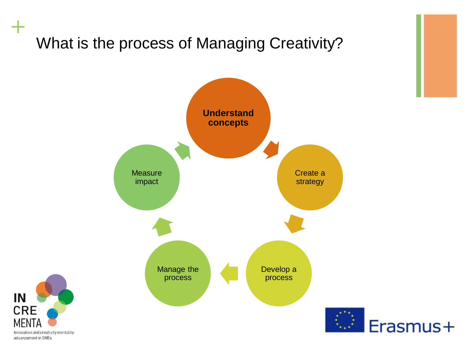## What is the process of Managing Creativity?





**+**

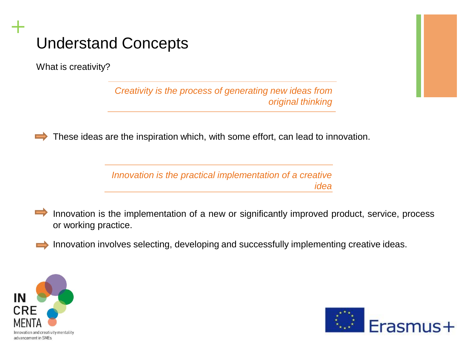What is creativity?

**+**

*Creativity is the process of generating new ideas from original thinking*

These ideas are the inspiration which, with some effort, can lead to innovation.  $\Rightarrow$ 

> *Innovation is the practical implementation of a creative idea*

Innovation is the implementation of a new or significantly improved product, service, process  $\Rightarrow$ or working practice.

Innovation involves selecting, developing and successfully implementing creative ideas.



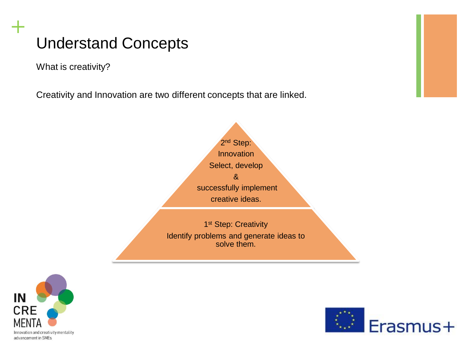What is creativity?

**+**

Creativity and Innovation are two different concepts that are linked.





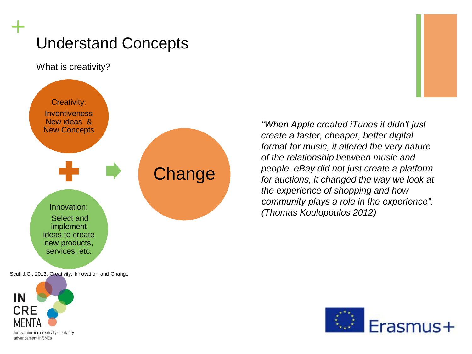What is creativity?

**+**



Scull J.C., 2013, Creativity, Innovation and Change



*"When Apple created iTunes it didn't just create a faster, cheaper, better digital format for music, it altered the very nature of the relationship between music and people. eBay did not just create a platform for auctions, it changed the way we look at the experience of shopping and how community plays a role in the experience". (Thomas Koulopoulos 2012)*

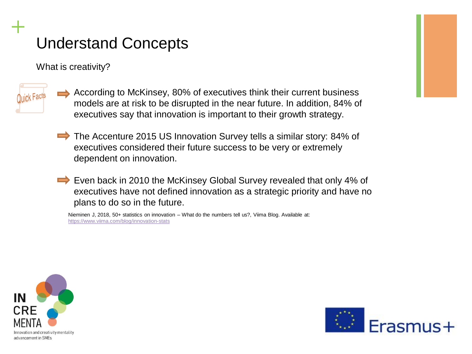What is creativity?



**+**

- According to McKinsey, 80% of executives think their current business models are at risk to be disrupted in the near future. In addition, 84% of executives say that innovation is important to their growth strategy.
- The Accenture 2015 US Innovation Survey tells a similar story: 84% of executives considered their future success to be very or extremely dependent on innovation.
- Even back in 2010 the McKinsey Global Survey revealed that only 4% of executives have not defined innovation as a strategic priority and have no plans to do so in the future.

Nieminen J, 2018, 50+ statistics on innovation – What do the numbers tell us?, Viima Blog. Available at: <https://www.viima.com/blog/innovation-stats>



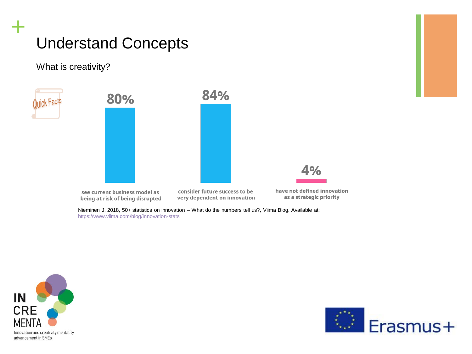#### What is creativity?

luick Fact

**+**

80%

84%



see current business model as being at risk of being disrupted

consider future success to be very dependent on innovation have not defined innovation as a strategic priority

Nieminen J, 2018, 50+ statistics on innovation – What do the numbers tell us?, Viima Blog. Available at: <https://www.viima.com/blog/innovation-stats>



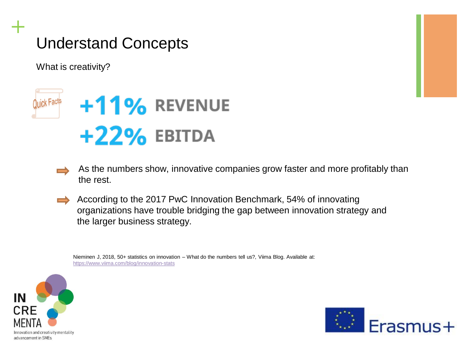What is creativity?

**+**



- As the numbers show, innovative companies grow faster and more profitably than the rest.
- According to the 2017 PwC Innovation Benchmark, 54% of innovating organizations have trouble bridging the gap between innovation strategy and the larger business strategy.

Nieminen J, 2018, 50+ statistics on innovation – What do the numbers tell us?, Viima Blog. Available at: <https://www.viima.com/blog/innovation-stats>



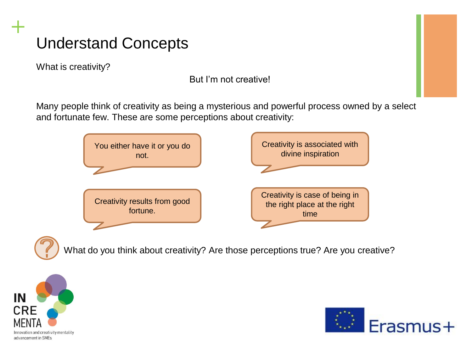What is creativity?

**+**

But I'm not creative!

Many people think of creativity as being a mysterious and powerful process owned by a select and fortunate few. These are some perceptions about creativity:



What do you think about creativity? Are those perceptions true? Are you creative?